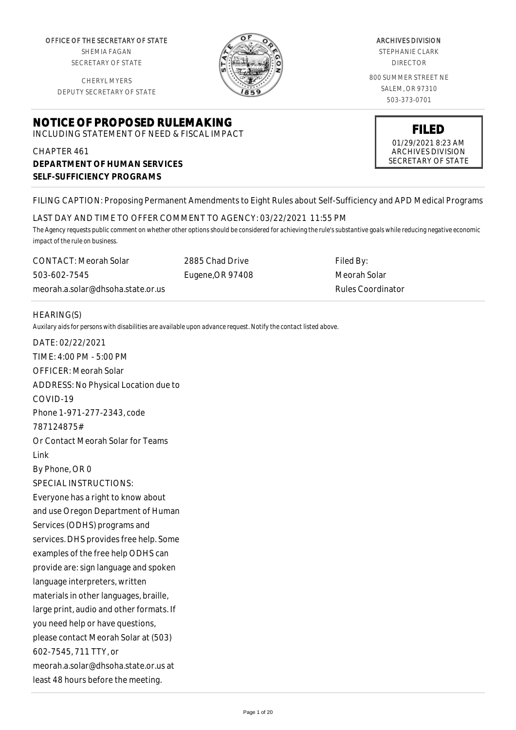OFFICE OF THE SECRETARY OF STATE SHEMIA FAGAN

SECRETARY OF STATE

CHERYL MYERS DEPUTY SECRETARY OF STATE

# **NOTICE OF PROPOSED RULEMAKING**

INCLUDING STATEMENT OF NEED & FISCAL IMPACT

## CHAPTER 461 **DEPARTMENT OF HUMAN SERVICES SELF-SUFFICIENCY PROGRAMS**

ARCHIVES DIVISION STEPHANIE CLARK

DIRECTOR

800 SUMMER STREET NE SALEM, OR 97310 503-373-0701



#### FILING CAPTION: Proposing Permanent Amendments to Eight Rules about Self-Sufficiency and APD Medical Programs

LAST DAY AND TIME TO OFFER COMMENT TO AGENCY: 03/22/2021 11:55 PM

*The Agency requests public comment on whether other options should be considered for achieving the rule's substantive goals while reducing negative economic impact of the rule on business.*

CONTACT: Meorah Solar 503-602-7545 meorah.a.solar@dhsoha.state.or.us 2885 Chad Drive Eugene,OR 97408

Filed By: Meorah Solar Rules Coordinator

#### HEARING(S)

*Auxilary aids for persons with disabilities are available upon advance request. Notify the contact listed above.*

DATE: 02/22/2021 TIME: 4:00 PM - 5:00 PM OFFICER: Meorah Solar ADDRESS: No Physical Location due to COVID-19 Phone 1-971-277-2343, code 787124875# Or Contact Meorah Solar for Teams Link By Phone, OR 0 SPECIAL INSTRUCTIONS: Everyone has a right to know about and use Oregon Department of Human Services (ODHS) programs and services. DHS provides free help. Some examples of the free help ODHS can provide are: sign language and spoken language interpreters, written materials in other languages, braille, large print, audio and other formats. If you need help or have questions, please contact Meorah Solar at (503) 602-7545, 711 TTY, or meorah.a.solar@dhsoha.state.or.us at least 48 hours before the meeting.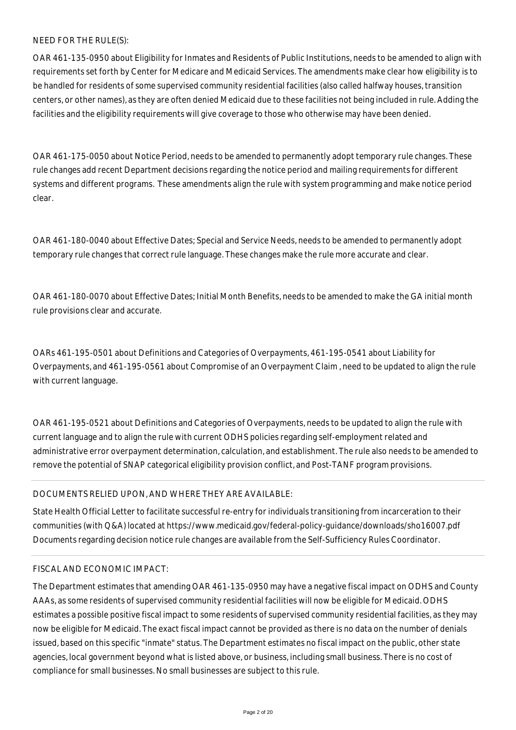#### NEED FOR THE RULE(S):

OAR 461-135-0950 about Eligibility for Inmates and Residents of Public Institutions, needs to be amended to align with requirements set forth by Center for Medicare and Medicaid Services. The amendments make clear how eligibility is to be handled for residents of some supervised community residential facilities (also called halfway houses, transition centers, or other names), as they are often denied Medicaid due to these facilities not being included in rule. Adding the facilities and the eligibility requirements will give coverage to those who otherwise may have been denied.

OAR 461-175-0050 about Notice Period, needs to be amended to permanently adopt temporary rule changes. These rule changes add recent Department decisions regarding the notice period and mailing requirements for different systems and different programs. These amendments align the rule with system programming and make notice period clear.

OAR 461-180-0040 about Effective Dates; Special and Service Needs, needs to be amended to permanently adopt temporary rule changes that correct rule language. These changes make the rule more accurate and clear.

OAR 461-180-0070 about Effective Dates; Initial Month Benefits, needs to be amended to make the GA initial month rule provisions clear and accurate.

OARs 461-195-0501 about Definitions and Categories of Overpayments, 461-195-0541 about Liability for Overpayments, and 461-195-0561 about Compromise of an Overpayment Claim , need to be updated to align the rule with current language.

OAR 461-195-0521 about Definitions and Categories of Overpayments, needs to be updated to align the rule with current language and to align the rule with current ODHS policies regarding self-employment related and administrative error overpayment determination, calculation, and establishment. The rule also needs to be amended to remove the potential of SNAP categorical eligibility provision conflict, and Post-TANF program provisions.

#### DOCUMENTS RELIED UPON, AND WHERE THEY ARE AVAILABLE:

State Health Official Letter to facilitate successful re-entry for individuals transitioning from incarceration to their communities (with Q&A) located at https://www.medicaid.gov/federal-policy-guidance/downloads/sho16007.pdf Documents regarding decision notice rule changes are available from the Self-Sufficiency Rules Coordinator.

#### FISCAL AND ECONOMIC IMPACT:

The Department estimates that amending OAR 461-135-0950 may have a negative fiscal impact on ODHS and County AAAs, as some residents of supervised community residential facilities will now be eligible for Medicaid. ODHS estimates a possible positive fiscal impact to some residents of supervised community residential facilities, as they may now be eligible for Medicaid. The exact fiscal impact cannot be provided as there is no data on the number of denials issued, based on this specific "inmate" status. The Department estimates no fiscal impact on the public, other state agencies, local government beyond what is listed above, or business, including small business. There is no cost of compliance for small businesses. No small businesses are subject to this rule.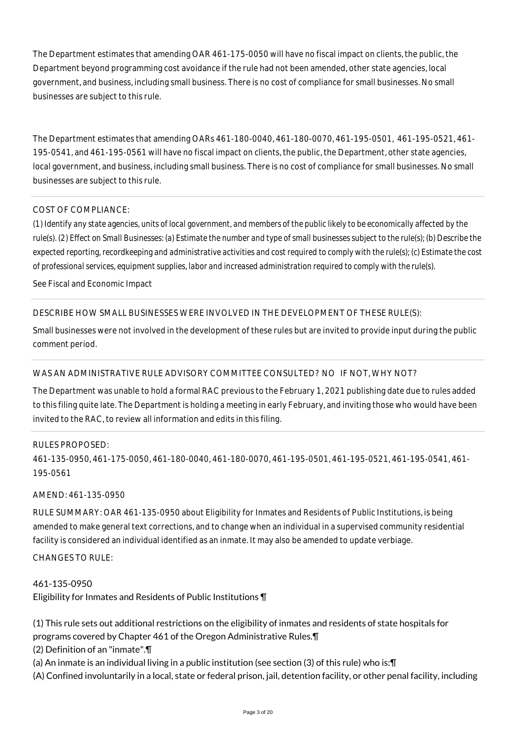The Department estimates that amending OAR 461-175-0050 will have no fiscal impact on clients, the public, the Department beyond programming cost avoidance if the rule had not been amended, other state agencies, local government, and business, including small business. There is no cost of compliance for small businesses. No small businesses are subject to this rule.

The Department estimates that amending OARs 461-180-0040, 461-180-0070, 461-195-0501, 461-195-0521, 461- 195-0541, and 461-195-0561 will have no fiscal impact on clients, the public, the Department, other state agencies, local government, and business, including small business. There is no cost of compliance for small businesses. No small businesses are subject to this rule.

#### COST OF COMPLIANCE:

*(1) Identify any state agencies, units of local government, and members of the public likely to be economically affected by the rule(s). (2) Effect on Small Businesses: (a) Estimate the number and type of small businesses subject to the rule(s); (b) Describe the expected reporting, recordkeeping and administrative activities and cost required to comply with the rule(s); (c) Estimate the cost of professional services, equipment supplies, labor and increased administration required to comply with the rule(s).*

See Fiscal and Economic Impact

#### DESCRIBE HOW SMALL BUSINESSES WERE INVOLVED IN THE DEVELOPMENT OF THESE RULE(S):

Small businesses were not involved in the development of these rules but are invited to provide input during the public comment period.

#### WAS AN ADMINISTRATIVE RULE ADVISORY COMMITTEE CONSULTED? NO IF NOT, WHY NOT?

The Department was unable to hold a formal RAC previous to the February 1, 2021 publishing date due to rules added to this filing quite late. The Department is holding a meeting in early February, and inviting those who would have been invited to the RAC, to review all information and edits in this filing.

#### RULES PROPOSED:

461-135-0950, 461-175-0050, 461-180-0040, 461-180-0070, 461-195-0501, 461-195-0521, 461-195-0541, 461- 195-0561

#### AMEND: 461-135-0950

RULE SUMMARY: OAR 461-135-0950 about Eligibility for Inmates and Residents of Public Institutions, is being amended to make general text corrections, and to change when an individual in a supervised community residential facility is considered an individual identified as an inmate. It may also be amended to update verbiage.

#### $CHANGFS TO RIIF$

#### 461-135-0950

Eligibility for Inmates and Residents of Public Institutions ¶

(1) This rule sets out additional restrictions on the eligibility of inmates and residents of state hospitals for

- programs covered by Chapter 461 of the Oregon Administrative Rules.¶
- (2) Definition of an "inmate".¶
- (a) An inmate is an individual living in a public institution (see section (3) of this rule) who is:¶
- (A) Confined involuntarily in a local, state or federal prison, jail, detention facility, or other penal facility, including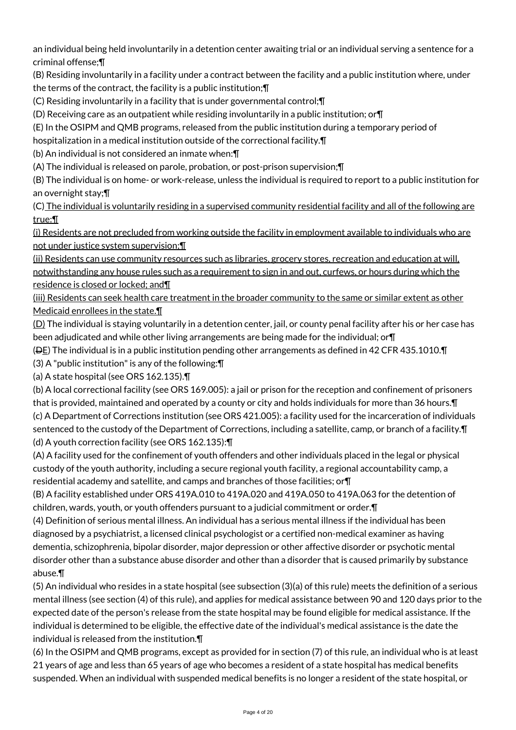an individual being held involuntarily in a detention center awaiting trial or an individual serving a sentence for a criminal offense;¶

(B) Residing involuntarily in a facility under a contract between the facility and a public institution where, under the terms of the contract, the facility is a public institution;¶

(C) Residing involuntarily in a facility that is under governmental control;¶

(D) Receiving care as an outpatient while residing involuntarily in a public institution; or¶

(E) In the OSIPM and QMB programs, released from the public institution during a temporary period of

hospitalization in a medical institution outside of the correctional facility.¶

(b) An individual is not considered an inmate when:¶

(A) The individual is released on parole, probation, or post-prison supervision;¶

(B) The individual is on home- or work-release, unless the individual is required to report to a public institution for an overnight stay;¶

(C) The individual is voluntarily residing in a supervised community residential facility and all of the following are true:¶

(i) Residents are not precluded from working outside the facility in employment available to individuals who are not under justice system supervision;¶

(ii) Residents can use community resources such as libraries, grocery stores, recreation and education at will, notwithstanding any house rules such as a requirement to sign in and out, curfews, or hours during which the residence is closed or locked; and¶

(iii) Residents can seek health care treatment in the broader community to the same or similar extent as other Medicaid enrollees in the state.¶

 $(D)$  The individual is staying voluntarily in a detention center, jail, or county penal facility after his or her case has been adjudicated and while other living arrangements are being made for the individual; or¶

( $\overline{\text{PE}}$ ) The individual is in a public institution pending other arrangements as defined in 42 CFR 435.1010. $\P$ 

(3) A "public institution" is any of the following:¶

(a) A state hospital (see ORS 162.135).¶

(b) A local correctional facility (see ORS 169.005): a jail or prison for the reception and confinement of prisoners that is provided, maintained and operated by a county or city and holds individuals for more than 36 hours.¶ (c) A Department of Corrections institution (see ORS 421.005): a facility used for the incarceration of individuals sentenced to the custody of the Department of Corrections, including a satellite, camp, or branch of a facility.¶ (d) A youth correction facility (see ORS 162.135):¶

(A) A facility used for the confinement of youth offenders and other individuals placed in the legal or physical custody of the youth authority, including a secure regional youth facility, a regional accountability camp, a residential academy and satellite, and camps and branches of those facilities; or¶

(B) A facility established under ORS 419A.010 to 419A.020 and 419A.050 to 419A.063 for the detention of children, wards, youth, or youth offenders pursuant to a judicial commitment or order.¶

(4) Definition of serious mental illness. An individual has a serious mental illness if the individual has been diagnosed by a psychiatrist, a licensed clinical psychologist or a certified non-medical examiner as having dementia, schizophrenia, bipolar disorder, major depression or other affective disorder or psychotic mental disorder other than a substance abuse disorder and other than a disorder that is caused primarily by substance abuse.¶

(5) An individual who resides in a state hospital (see subsection (3)(a) of this rule) meets the definition of a serious mental illness (see section (4) of this rule), and applies for medical assistance between 90 and 120 days prior to the expected date of the person's release from the state hospital may be found eligible for medical assistance. If the individual is determined to be eligible, the effective date of the individual's medical assistance is the date the individual is released from the institution.¶

(6) In the OSIPM and QMB programs, except as provided for in section (7) of this rule, an individual who is at least 21 years of age and less than 65 years of age who becomes a resident of a state hospital has medical benefits suspended. When an individual with suspended medical benefits is no longer a resident of the state hospital, or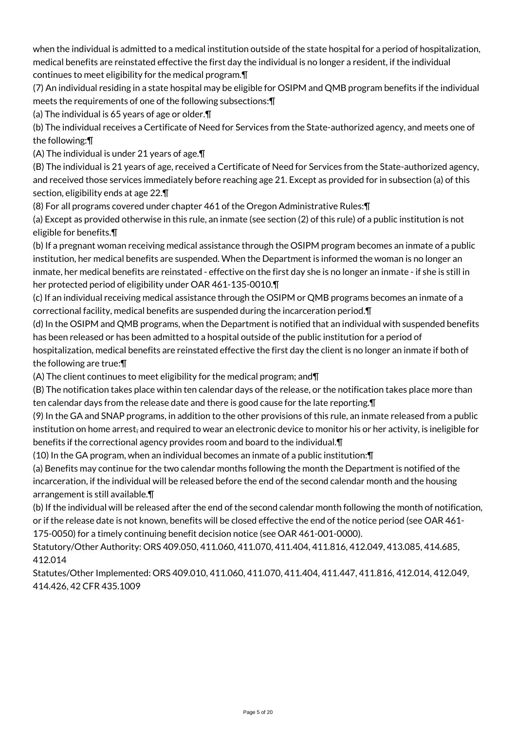when the individual is admitted to a medical institution outside of the state hospital for a period of hospitalization, medical benefits are reinstated effective the first day the individual is no longer a resident, if the individual continues to meet eligibility for the medical program.¶

(7) An individual residing in a state hospital may be eligible for OSIPM and QMB program benefits if the individual meets the requirements of one of the following subsections:¶

(a) The individual is 65 years of age or older.¶

(b) The individual receives a Certificate of Need for Services from the State-authorized agency, and meets one of the following:¶

(A) The individual is under 21 years of age.¶

(B) The individual is 21 years of age, received a Certificate of Need for Services from the State-authorized agency, and received those services immediately before reaching age 21. Except as provided for in subsection (a) of this section, eligibility ends at age 22.¶

(8) For all programs covered under chapter 461 of the Oregon Administrative Rules:¶

(a) Except as provided otherwise in this rule, an inmate (see section (2) of this rule) of a public institution is not eligible for benefits.¶

(b) If a pregnant woman receiving medical assistance through the OSIPM program becomes an inmate of a public institution, her medical benefits are suspended. When the Department is informed the woman is no longer an inmate, her medical benefits are reinstated - effective on the first day she is no longer an inmate - if she is still in her protected period of eligibility under OAR 461-135-0010.¶

(c) If an individual receiving medical assistance through the OSIPM or QMB programs becomes an inmate of a correctional facility, medical benefits are suspended during the incarceration period.¶

(d) In the OSIPM and QMB programs, when the Department is notified that an individual with suspended benefits has been released or has been admitted to a hospital outside of the public institution for a period of hospitalization, medical benefits are reinstated effective the first day the client is no longer an inmate if both of the following are true:¶

(A) The client continues to meet eligibility for the medical program; and¶

(B) The notification takes place within ten calendar days of the release, or the notification takes place more than ten calendar days from the release date and there is good cause for the late reporting.¶

(9) In the GA and SNAP programs, in addition to the other provisions of this rule, an inmate released from a public institution on home arrest, and required to wear an electronic device to monitor his or her activity, is ineligible for benefits if the correctional agency provides room and board to the individual.¶

(10) In the GA program, when an individual becomes an inmate of a public institution:¶

(a) Benefits may continue for the two calendar months following the month the Department is notified of the incarceration, if the individual will be released before the end of the second calendar month and the housing arrangement is still available.¶

(b) If the individual will be released after the end of the second calendar month following the month of notification, or if the release date is not known, benefits will be closed effective the end of the notice period (see OAR 461- 175-0050) for a timely continuing benefit decision notice (see OAR 461-001-0000).

Statutory/Other Authority: ORS 409.050, 411.060, 411.070, 411.404, 411.816, 412.049, 413.085, 414.685, 412.014

Statutes/Other Implemented: ORS 409.010, 411.060, 411.070, 411.404, 411.447, 411.816, 412.014, 412.049, 414.426, 42 CFR 435.1009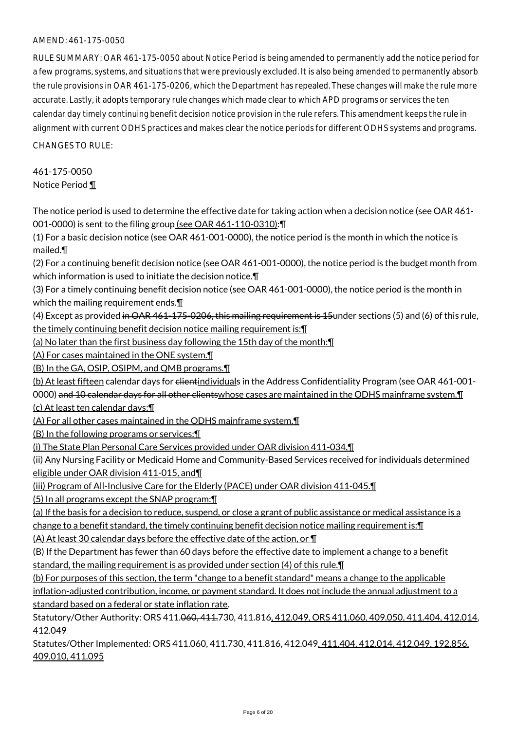RULE SUMMARY: OAR 461-175-0050 about Notice Period is being amended to permanently add the notice period for a few programs, systems, and situations that were previously excluded. It is also being amended to permanently absorb the rule provisions in OAR 461-175-0206, which the Department has repealed. These changes will make the rule more accurate. Lastly, it adopts temporary rule changes which made clear to which APD programs or services the ten calendar day timely continuing benefit decision notice provision in the rule refers. This amendment keeps the rule in alignment with current ODHS practices and makes clear the notice periods for different ODHS systems and programs.

CHANGES TO RULE:

461-175-0050 Notice Period ¶

The notice period is used to determine the effective date for taking action when a decision notice (see OAR 461- 001-0000) is sent to the filing group (see OAR 461-110-0310):¶

(1) For a basic decision notice (see OAR 461-001-0000), the notice period is the month in which the notice is mailed.¶

(2) For a continuing benefit decision notice (see OAR 461-001-0000), the notice period is the budget month from which information is used to initiate the decision notice.¶

(3) For a timely continuing benefit decision notice (see OAR 461-001-0000), the notice period is the month in which the mailing requirement ends.

(4) Except as provided in OAR 461-175-0206, this mailing requirement is 15 under sections (5) and (6) of this rule, the timely continuing benefit decision notice mailing requirement is: \[

(a) No later than the first business day following the 15th day of the month:¶

(A) For cases maintained in the ONE system.¶

(B) In the GA, OSIP, OSIPM, and QMB programs.¶

(b) At least fifteen calendar days for clientindividuals in the Address Confidentiality Program (see OAR 461-001-

0000) and 10 calendar days for all other clientswhose cases are maintained in the ODHS mainframe system. I (c) At least ten calendar days:¶

(A) For all other cases maintained in the ODHS mainframe system.¶

(B) In the following programs or services:¶

(i) The State Plan Personal Care Services provided under OAR division 411-034,¶

(ii) Any Nursing Facility or Medicaid Home and Community-Based Services received for individuals determined eligible under OAR division 411-015, and¶

(iii) Program of All-Inclusive Care for the Elderly (PACE) under OAR division 411-045.¶

(5) In all programs except the SNAP program:¶

(a) If the basis for a decision to reduce, suspend, or close a grant of public assistance or medical assistance is a

change to a benefit standard, the timely continuing benefit decision notice mailing requirement is: [[

(A) At least 30 calendar days before the effective date of the action, or ¶

(B) If the Department has fewer than 60 days before the effective date to implement a change to a benefit standard, the mailing requirement is as provided under section (4) of this rule.¶

(b) For purposes of this section, the term "change to a benefit standard" means a change to the applicable inflation-adjusted contribution, income, or payment standard. It does not include the annual adjustment to a standard based on a federal or state inflation rate.

Statutory/Other Authority: ORS 411.060, 411.730, 411.816, 412.049, ORS 411.060, 409.050, 411.404, 412.014, 412.049

Statutes/Other Implemented: ORS 411.060, 411.730, 411.816, 412.049, 411.404, 412.014, 412.049, 192.856, 409.010, 411.095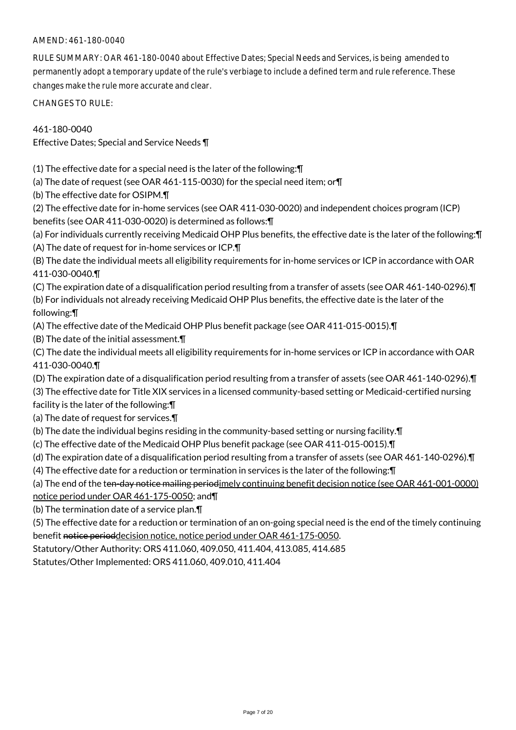#### AMEND: 461-180-0040

RULE SUMMARY: OAR 461-180-0040 about Effective Dates; Special Needs and Services, is being amended to permanently adopt a temporary update of the rule's verbiage to include a defined term and rule reference. These changes make the rule more accurate and clear.

CHANGES TO RULE:

461-180-0040

Effective Dates; Special and Service Needs ¶

(1) The effective date for a special need is the later of the following:¶

(a) The date of request (see OAR 461-115-0030) for the special need item; or¶

(b) The effective date for OSIPM.¶

(2) The effective date for in-home services (see OAR 411-030-0020) and independent choices program (ICP) benefits (see OAR 411-030-0020) is determined as follows:¶

(a) For individuals currently receiving Medicaid OHP Plus benefits, the effective date is the later of the following:¶ (A) The date of request for in-home services or ICP.¶

(B) The date the individual meets all eligibility requirements for in-home services or ICP in accordance with OAR 411-030-0040.¶

(C) The expiration date of a disqualification period resulting from a transfer of assets (see OAR 461-140-0296).¶

(b) For individuals not already receiving Medicaid OHP Plus benefits, the effective date is the later of the following:¶

(A) The effective date of the Medicaid OHP Plus benefit package (see OAR 411-015-0015).¶

(B) The date of the initial assessment.¶

(C) The date the individual meets all eligibility requirements for in-home services or ICP in accordance with OAR 411-030-0040.¶

(D) The expiration date of a disqualification period resulting from a transfer of assets (see OAR 461-140-0296).¶

(3) The effective date for Title XIX services in a licensed community-based setting or Medicaid-certified nursing facility is the later of the following:¶

(a) The date of request for services.¶

(b) The date the individual begins residing in the community-based setting or nursing facility.¶

(c) The effective date of the Medicaid OHP Plus benefit package (see OAR 411-015-0015).¶

(d) The expiration date of a disqualification period resulting from a transfer of assets (see OAR 461-140-0296).¶

(4) The effective date for a reduction or termination in services is the later of the following:¶

(a) The end of the ten-day notice mailing periodimely continuing benefit decision notice (see OAR 461-001-0000)

notice period under OAR 461-175-0050; and¶

(b) The termination date of a service plan.¶

(5) The effective date for a reduction or termination of an on-going special need is the end of the timely continuing benefit notice perioddecision notice, notice period under OAR 461-175-0050.

Statutory/Other Authority: ORS 411.060, 409.050, 411.404, 413.085, 414.685

Statutes/Other Implemented: ORS 411.060, 409.010, 411.404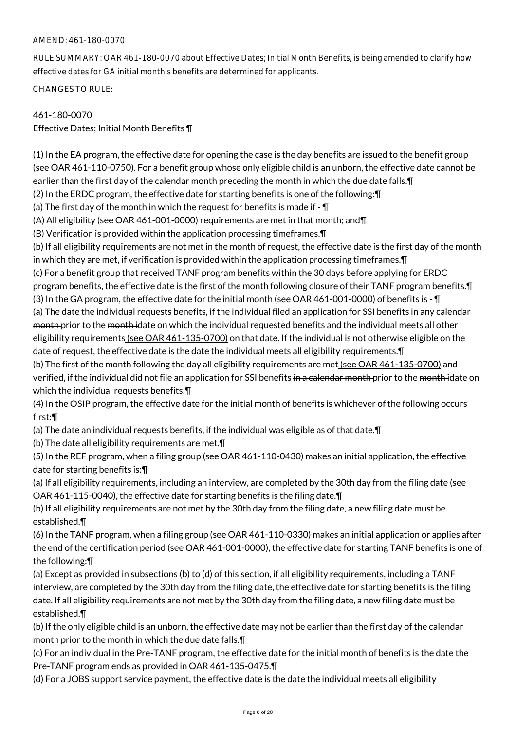#### AMEND: 461-180-0070

RULE SUMMARY: OAR 461-180-0070 about Effective Dates; Initial Month Benefits, is being amended to clarify how effective dates for GA initial month's benefits are determined for applicants.

CHANGES TO RULE:

## 461-180-0070

Effective Dates; Initial Month Benefits ¶

(1) In the EA program, the effective date for opening the case is the day benefits are issued to the benefit group (see OAR 461-110-0750). For a benefit group whose only eligible child is an unborn, the effective date cannot be earlier than the first day of the calendar month preceding the month in which the due date falls. In (2) In the ERDC program, the effective date for starting benefits is one of the following:¶ (a) The first day of the month in which the request for benefits is made if  $\overline{\mathbb{I}}$ (A) All eligibility (see OAR 461-001-0000) requirements are met in that month; and¶ (B) Verification is provided within the application processing timeframes.¶ (b) If all eligibility requirements are not met in the month of request, the effective date is the first day of the month in which they are met, if verification is provided within the application processing timeframes.¶

(c) For a benefit group that received TANF program benefits within the 30 days before applying for ERDC program benefits, the effective date is the first of the month following closure of their TANF program benefits.¶ (3) In the GA program, the effective date for the initial month (see OAR 461-001-0000) of benefits is - ¶ (a) The date the individual requests benefits, if the individual filed an application for SSI benefits in any calendar month prior to the month idate on which the individual requested benefits and the individual meets all other eligibility requirements (see OAR 461-135-0700) on that date. If the individual is not otherwise eligible on the date of request, the effective date is the date the individual meets all eligibility requirements.¶ (b) The first of the month following the day all eligibility requirements are met (see OAR 461-135-0700) and verified, if the individual did not file an application for SSI benefits in a calendar month prior to the month idate on

which the individual requests benefits.¶

(4) In the OSIP program, the effective date for the initial month of benefits is whichever of the following occurs first:¶

(a) The date an individual requests benefits, if the individual was eligible as of that date.¶

(b) The date all eligibility requirements are met.¶

(5) In the REF program, when a filing group (see OAR 461-110-0430) makes an initial application, the effective date for starting benefits is:¶

(a) If all eligibility requirements, including an interview, are completed by the 30th day from the filing date (see OAR 461-115-0040), the effective date for starting benefits is the filing date.¶

(b) If all eligibility requirements are not met by the 30th day from the filing date, a new filing date must be established.¶

(6) In the TANF program, when a filing group (see OAR 461-110-0330) makes an initial application or applies after the end of the certification period (see OAR 461-001-0000), the effective date for starting TANF benefits is one of the following:¶

(a) Except as provided in subsections (b) to (d) of this section, if all eligibility requirements, including a TANF interview, are completed by the 30th day from the filing date, the effective date for starting benefits is the filing date. If all eligibility requirements are not met by the 30th day from the filing date, a new filing date must be established.¶

(b) If the only eligible child is an unborn, the effective date may not be earlier than the first day of the calendar month prior to the month in which the due date falls.¶

(c) For an individual in the Pre-TANF program, the effective date for the initial month of benefits is the date the Pre-TANF program ends as provided in OAR 461-135-0475.¶

(d) For a JOBS support service payment, the effective date is the date the individual meets all eligibility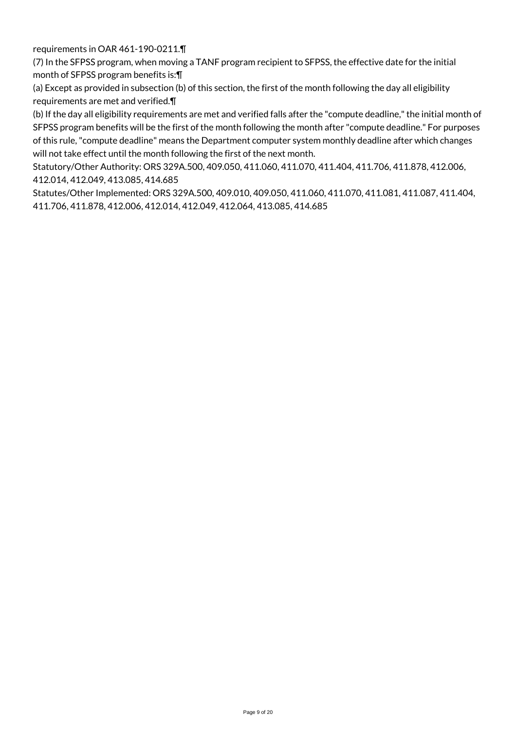requirements in OAR 461-190-0211.¶

(7) In the SFPSS program, when moving a TANF program recipient to SFPSS, the effective date for the initial month of SFPSS program benefits is:¶

(a) Except as provided in subsection (b) of this section, the first of the month following the day all eligibility requirements are met and verified.¶

(b) If the day all eligibility requirements are met and verified falls after the "compute deadline," the initial month of SFPSS program benefits will be the first of the month following the month after "compute deadline." For purposes of this rule, "compute deadline" means the Department computer system monthly deadline after which changes will not take effect until the month following the first of the next month.

Statutory/Other Authority: ORS 329A.500, 409.050, 411.060, 411.070, 411.404, 411.706, 411.878, 412.006, 412.014, 412.049, 413.085, 414.685

Statutes/Other Implemented: ORS 329A.500, 409.010, 409.050, 411.060, 411.070, 411.081, 411.087, 411.404, 411.706, 411.878, 412.006, 412.014, 412.049, 412.064, 413.085, 414.685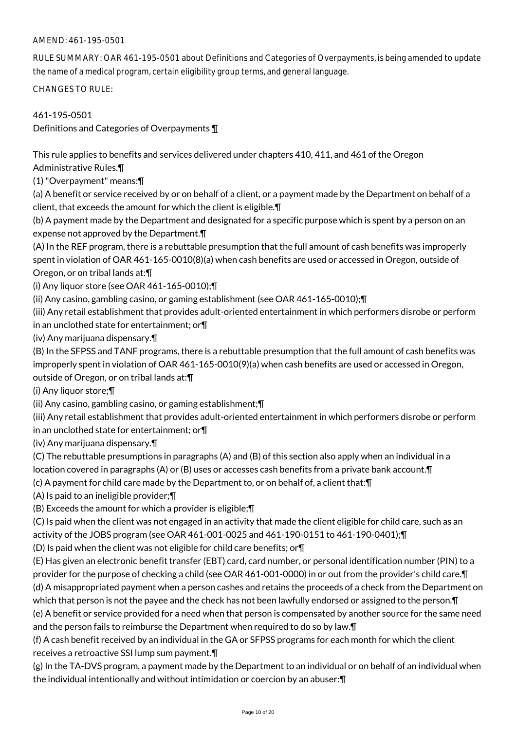RULE SUMMARY: OAR 461-195-0501 about Definitions and Categories of Overpayments, is being amended to update the name of a medical program, certain eligibility group terms, and general language.

CHANGES TO RULE:

461-195-0501

Definitions and Categories of Overpayments ¶

This rule applies to benefits and services delivered under chapters 410, 411, and 461 of the Oregon Administrative Rules.¶

(1) "Overpayment" means:¶

(a) A benefit or service received by or on behalf of a client, or a payment made by the Department on behalf of a client, that exceeds the amount for which the client is eligible.¶

(b) A payment made by the Department and designated for a specific purpose which is spent by a person on an expense not approved by the Department.¶

(A) In the REF program, there is a rebuttable presumption that the full amount of cash benefits was improperly spent in violation of OAR 461-165-0010(8)(a) when cash benefits are used or accessed in Oregon, outside of

Oregon, or on tribal lands at:¶

(i) Any liquor store (see OAR 461-165-0010);¶

(ii) Any casino, gambling casino, or gaming establishment (see OAR 461-165-0010);¶

(iii) Any retail establishment that provides adult-oriented entertainment in which performers disrobe or perform in an unclothed state for entertainment; or¶

(iv) Any marijuana dispensary.¶

(B) In the SFPSS and TANF programs, there is a rebuttable presumption that the full amount of cash benefits was improperly spent in violation of OAR 461-165-0010(9)(a) when cash benefits are used or accessed in Oregon,

outside of Oregon, or on tribal lands at:¶

(i) Any liquor store;¶

(ii) Any casino, gambling casino, or gaming establishment;¶

(iii) Any retail establishment that provides adult-oriented entertainment in which performers disrobe or perform in an unclothed state for entertainment; or¶

(iv) Any marijuana dispensary.¶

(C) The rebuttable presumptions in paragraphs (A) and (B) of this section also apply when an individual in a

location covered in paragraphs (A) or (B) uses or accesses cash benefits from a private bank account.¶ (c) A payment for child care made by the Department to, or on behalf of, a client that:¶

(A) Is paid to an ineligible provider;¶

(B) Exceeds the amount for which a provider is eligible;¶

(C) Is paid when the client was not engaged in an activity that made the client eligible for child care, such as an activity of the JOBS program (see OAR 461-001-0025 and 461-190-0151 to 461-190-0401);¶

(D) Is paid when the client was not eligible for child care benefits; or¶

(E) Has given an electronic benefit transfer (EBT) card, card number, or personal identification number (PIN) to a provider for the purpose of checking a child (see OAR 461-001-0000) in or out from the provider's child care.¶ (d) A misappropriated payment when a person cashes and retains the proceeds of a check from the Department on which that person is not the payee and the check has not been lawfully endorsed or assigned to the person.¶ (e) A benefit or service provided for a need when that person is compensated by another source for the same need

and the person fails to reimburse the Department when required to do so by law.¶

(f) A cash benefit received by an individual in the GA or SFPSS programs for each month for which the client receives a retroactive SSI lump sum payment.¶

(g) In the TA-DVS program, a payment made by the Department to an individual or on behalf of an individual when the individual intentionally and without intimidation or coercion by an abuser:¶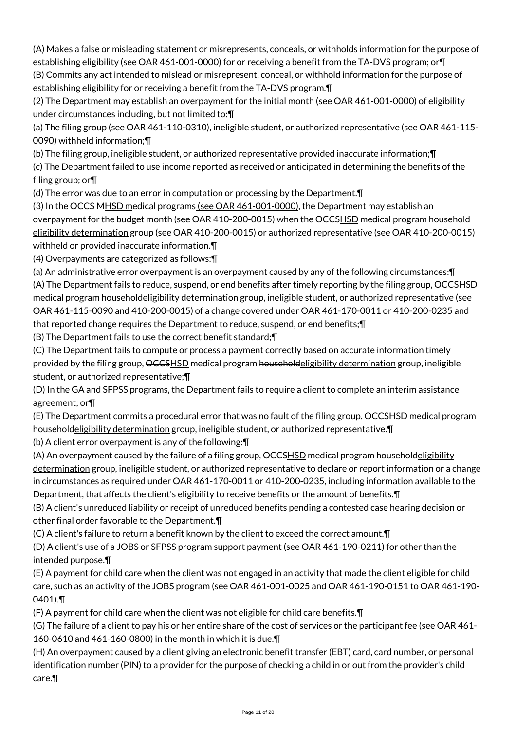(A) Makes a false or misleading statement or misrepresents, conceals, or withholds information for the purpose of establishing eligibility (see OAR 461-001-0000) for or receiving a benefit from the TA-DVS program; or¶ (B) Commits any act intended to mislead or misrepresent, conceal, or withhold information for the purpose of establishing eligibility for or receiving a benefit from the TA-DVS program.¶

(2) The Department may establish an overpayment for the initial month (see OAR 461-001-0000) of eligibility under circumstances including, but not limited to:¶

(a) The filing group (see OAR 461-110-0310), ineligible student, or authorized representative (see OAR 461-115- 0090) withheld information;¶

(b) The filing group, ineligible student, or authorized representative provided inaccurate information;¶

(c) The Department failed to use income reported as received or anticipated in determining the benefits of the filing group; or¶

(d) The error was due to an error in computation or processing by the Department.¶

(3) In the OCCS MHSD medical programs (see OAR 461-001-0000), the Department may establish an overpayment for the budget month (see OAR 410-200-0015) when the OCCSHSD medical program household eligibility determination group (see OAR 410-200-0015) or authorized representative (see OAR 410-200-0015) withheld or provided inaccurate information.¶

(4) Overpayments are categorized as follows:¶

(a) An administrative error overpayment is an overpayment caused by any of the following circumstances:¶ (A) The Department fails to reduce, suspend, or end benefits after timely reporting by the filing group, OCCSHSD medical program householdeligibility determination group, ineligible student, or authorized representative (see OAR 461-115-0090 and 410-200-0015) of a change covered under OAR 461-170-0011 or 410-200-0235 and that reported change requires the Department to reduce, suspend, or end benefits;¶

(B) The Department fails to use the correct benefit standard;¶

(C) The Department fails to compute or process a payment correctly based on accurate information timely provided by the filing group, OCCSHSD medical program householdeligibility determination group, ineligible student, or authorized representative;¶

(D) In the GA and SFPSS programs, the Department fails to require a client to complete an interim assistance agreement; or¶

(E) The Department commits a procedural error that was no fault of the filing group, OCCSHSD medical program householdeligibility determination group, ineligible student, or authorized representative.  $\P$ 

(b) A client error overpayment is any of the following:¶

(A) An overpayment caused by the failure of a filing group, OCCSHSD medical program householdeligibility determination group, ineligible student, or authorized representative to declare or report information or a change in circumstances as required under OAR 461-170-0011 or 410-200-0235, including information available to the Department, that affects the client's eligibility to receive benefits or the amount of benefits.¶

(B) A client's unreduced liability or receipt of unreduced benefits pending a contested case hearing decision or other final order favorable to the Department.¶

(C) A client's failure to return a benefit known by the client to exceed the correct amount.¶

(D) A client's use of a JOBS or SFPSS program support payment (see OAR 461-190-0211) for other than the intended purpose.¶

(E) A payment for child care when the client was not engaged in an activity that made the client eligible for child care, such as an activity of the JOBS program (see OAR 461-001-0025 and OAR 461-190-0151 to OAR 461-190- 0401).¶

(F) A payment for child care when the client was not eligible for child care benefits.¶

(G) The failure of a client to pay his or her entire share of the cost of services or the participant fee (see OAR 461- 160-0610 and 461-160-0800) in the month in which it is due.¶

(H) An overpayment caused by a client giving an electronic benefit transfer (EBT) card, card number, or personal identification number (PIN) to a provider for the purpose of checking a child in or out from the provider's child care.¶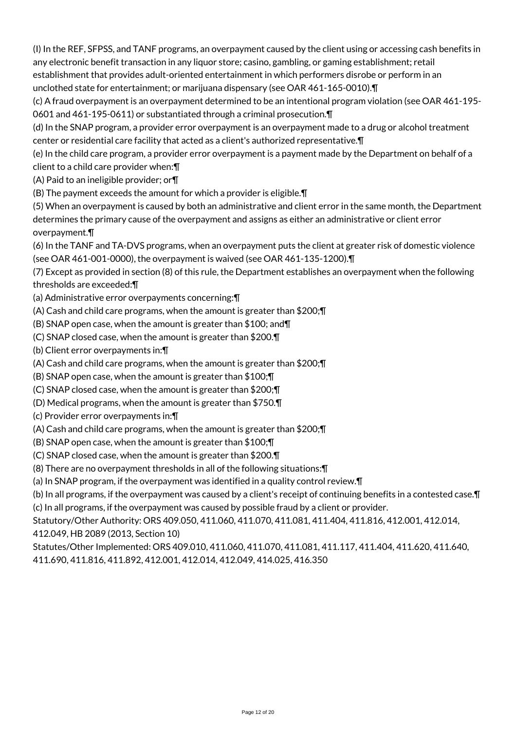(I) In the REF, SFPSS, and TANF programs, an overpayment caused by the client using or accessing cash benefits in any electronic benefit transaction in any liquor store; casino, gambling, or gaming establishment; retail establishment that provides adult-oriented entertainment in which performers disrobe or perform in an unclothed state for entertainment; or marijuana dispensary (see OAR 461-165-0010).¶

(c) A fraud overpayment is an overpayment determined to be an intentional program violation (see OAR 461-195- 0601 and 461-195-0611) or substantiated through a criminal prosecution.¶

(d) In the SNAP program, a provider error overpayment is an overpayment made to a drug or alcohol treatment center or residential care facility that acted as a client's authorized representative.¶

(e) In the child care program, a provider error overpayment is a payment made by the Department on behalf of a client to a child care provider when:¶

(A) Paid to an ineligible provider; or¶

(B) The payment exceeds the amount for which a provider is eligible.¶

(5) When an overpayment is caused by both an administrative and client error in the same month, the Department determines the primary cause of the overpayment and assigns as either an administrative or client error overpayment.¶

(6) In the TANF and TA-DVS programs, when an overpayment puts the client at greater risk of domestic violence (see OAR 461-001-0000), the overpayment is waived (see OAR 461-135-1200).¶

(7) Except as provided in section (8) of this rule, the Department establishes an overpayment when the following thresholds are exceeded:¶

(a) Administrative error overpayments concerning:¶

(A) Cash and child care programs, when the amount is greater than \$200;¶

(B) SNAP open case, when the amount is greater than \$100; and¶

(C) SNAP closed case, when the amount is greater than \$200.¶

(b) Client error overpayments in:¶

(A) Cash and child care programs, when the amount is greater than \$200;¶

(B) SNAP open case, when the amount is greater than \$100;¶

(C) SNAP closed case, when the amount is greater than \$200;¶

(D) Medical programs, when the amount is greater than \$750.¶

(c) Provider error overpayments in:¶

(A) Cash and child care programs, when the amount is greater than \$200;¶

(B) SNAP open case, when the amount is greater than \$100;¶

(C) SNAP closed case, when the amount is greater than \$200.¶

(8) There are no overpayment thresholds in all of the following situations:¶

(a) In SNAP program, if the overpayment was identified in a quality control review.¶

(b) In all programs, if the overpayment was caused by a client's receipt of continuing benefits in a contested case.¶ (c) In all programs, if the overpayment was caused by possible fraud by a client or provider.

Statutory/Other Authority: ORS 409.050, 411.060, 411.070, 411.081, 411.404, 411.816, 412.001, 412.014, 412.049, HB 2089 (2013, Section 10)

Statutes/Other Implemented: ORS 409.010, 411.060, 411.070, 411.081, 411.117, 411.404, 411.620, 411.640, 411.690, 411.816, 411.892, 412.001, 412.014, 412.049, 414.025, 416.350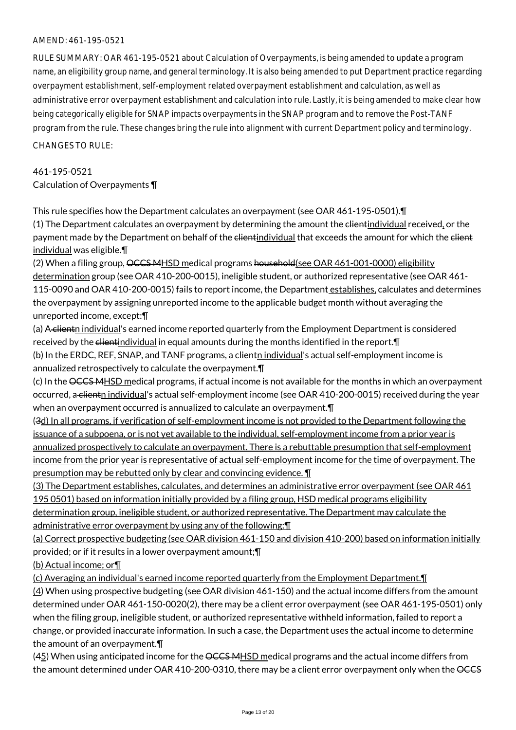RULE SUMMARY: OAR 461-195-0521 about Calculation of Overpayments, is being amended to update a program name, an eligibility group name, and general terminology. It is also being amended to put Department practice regarding overpayment establishment, self-employment related overpayment establishment and calculation, as well as administrative error overpayment establishment and calculation into rule. Lastly, it is being amended to make clear how being categorically eligible for SNAP impacts overpayments in the SNAP program and to remove the Post-TANF program from the rule. These changes bring the rule into alignment with current Department policy and terminology.

CHANGES TO RULE:

# 461-195-0521 Calculation of Overpayments ¶

This rule specifies how the Department calculates an overpayment (see OAR 461-195-0501).¶

(1) The Department calculates an overpayment by determining the amount the elientindividual received, or the payment made by the Department on behalf of the elientindividual that exceeds the amount for which the elient individual was eligible.¶

(2) When a filing group, OCCS MHSD medical programs household (see OAR 461-001-0000) eligibility determination group (see OAR 410-200-0015), ineligible student, or authorized representative (see OAR 461- 115-0090 and OAR 410-200-0015) fails to report income, the Department establishes, calculates and determines the overpayment by assigning unreported income to the applicable budget month without averaging the unreported income, except:¶

(a) A clientn individual's earned income reported quarterly from the Employment Department is considered received by the clientindividual in equal amounts during the months identified in the report. T (b) In the ERDC, REF, SNAP, and TANF programs, a clientn individual's actual self-employment income is annualized retrospectively to calculate the overpayment.¶

(c) In the OCCS MHSD medical programs, if actual income is not available for the months in which an overpayment occurred, a clientn individual's actual self-employment income (see OAR 410-200-0015) received during the year when an overpayment occurred is annualized to calculate an overpayment.¶

(3d) In all programs, if verification of self-employment income is not provided to the Department following the issuance of a subpoena, or is not yet available to the individual, self-employment income from a prior year is annualized prospectively to calculate an overpayment. There is a rebuttable presumption that self-employment income from the prior year is representative of actual self-employment income for the time of overpayment. The presumption may be rebutted only by clear and convincing evidence. ¶

(3) The Department establishes, calculates, and determines an administrative error overpayment (see OAR 461 195 0501) based on information initially provided by a filing group, HSD medical programs eligibility determination group, ineligible student, or authorized representative. The Department may calculate the administrative error overpayment by using any of the following: [1]

(a) Correct prospective budgeting (see OAR division 461-150 and division 410-200) based on information initially provided; or if it results in a lower overpayment amount;¶

(b) Actual income; or¶

(c) Averaging an individual's earned income reported quarterly from the Employment Department.¶

(4) When using prospective budgeting (see OAR division 461-150) and the actual income differs from the amount determined under OAR 461-150-0020(2), there may be a client error overpayment (see OAR 461-195-0501) only when the filing group, ineligible student, or authorized representative withheld information, failed to report a change, or provided inaccurate information. In such a case, the Department uses the actual income to determine the amount of an overpayment.¶

 $(45)$  When using anticipated income for the <del>OCCS MHSD</del> medical programs and the actual income differs from the amount determined under OAR 410-200-0310, there may be a client error overpayment only when the OCCS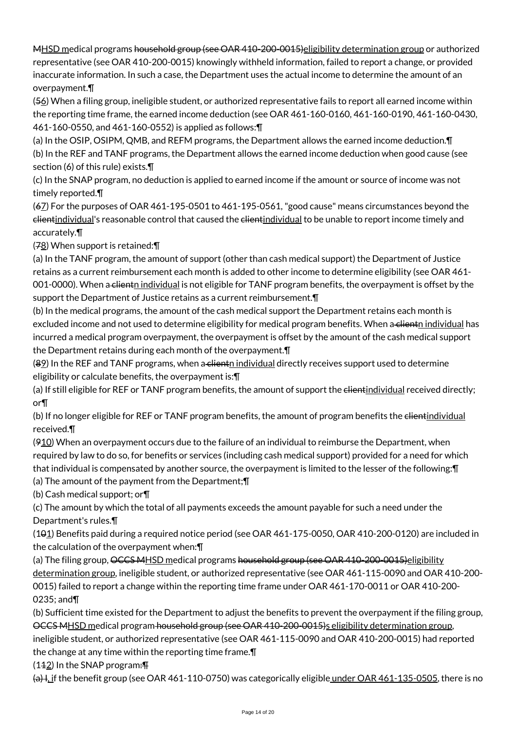MHSD medical programs household group (see OAR 410-200-0015) eligibility determination group or authorized representative (see OAR 410-200-0015) knowingly withheld information, failed to report a change, or provided inaccurate information. In such a case, the Department uses the actual income to determine the amount of an overpayment.¶

(56) When a filing group, ineligible student, or authorized representative fails to report all earned income within the reporting time frame, the earned income deduction (see OAR 461-160-0160, 461-160-0190, 461-160-0430, 461-160-0550, and 461-160-0552) is applied as follows:¶

(a) In the OSIP, OSIPM, QMB, and REFM programs, the Department allows the earned income deduction.¶ (b) In the REF and TANF programs, the Department allows the earned income deduction when good cause (see section (6) of this rule) exists.¶

(c) In the SNAP program, no deduction is applied to earned income if the amount or source of income was not timely reported.¶

(67) For the purposes of OAR 461-195-0501 to 461-195-0561, "good cause" means circumstances beyond the elientindividual's reasonable control that caused the elientindividual to be unable to report income timely and accurately.¶

(78) When support is retained:¶

(a) In the TANF program, the amount of support (other than cash medical support) the Department of Justice retains as a current reimbursement each month is added to other income to determine eligibility (see OAR 461- 001-0000). When a client<sub>n</sub> individual is not eligible for TANF program benefits, the overpayment is offset by the support the Department of Justice retains as a current reimbursement.¶

(b) In the medical programs, the amount of the cash medical support the Department retains each month is excluded income and not used to determine eligibility for medical program benefits. When a clientn individual has incurred a medical program overpayment, the overpayment is offset by the amount of the cash medical support the Department retains during each month of the overpayment.¶

 $(82)$  In the REF and TANF programs, when a client night individual directly receives support used to determine eligibility or calculate benefits, the overpayment is:¶

(a) If still eligible for REF or TANF program benefits, the amount of support the elientindividual received directly; or¶

(b) If no longer eligible for REF or TANF program benefits, the amount of program benefits the elientindividual received.¶

(910) When an overpayment occurs due to the failure of an individual to reimburse the Department, when required by law to do so, for benefits or services (including cash medical support) provided for a need for which that individual is compensated by another source, the overpayment is limited to the lesser of the following:¶

(a) The amount of the payment from the Department;¶

(b) Cash medical support; or¶

(c) The amount by which the total of all payments exceeds the amount payable for such a need under the Department's rules.¶

(101) Benefits paid during a required notice period (see OAR 461-175-0050, OAR 410-200-0120) are included in the calculation of the overpayment when:¶

(a) The filing group, OCCS MHSD medical programs household group (see OAR 410-200-0015)eligibility determination group, ineligible student, or authorized representative (see OAR 461-115-0090 and OAR 410-200- 0015) failed to report a change within the reporting time frame under OAR 461-170-0011 or OAR 410-200- 0235; and¶

(b) Sufficient time existed for the Department to adjust the benefits to prevent the overpayment if the filing group, OCCS MHSD medical program household group (see OAR 410-200-0015)s eligibility determination group, ineligible student, or authorized representative (see OAR 461-115-0090 and OAR 410-200-0015) had reported

the change at any time within the reporting time frame.¶

 $(142)$  In the SNAP program:  $\text{F}$ 

(a) I, if the benefit group (see OAR 461-110-0750) was categorically eligible under OAR 461-135-0505, there is no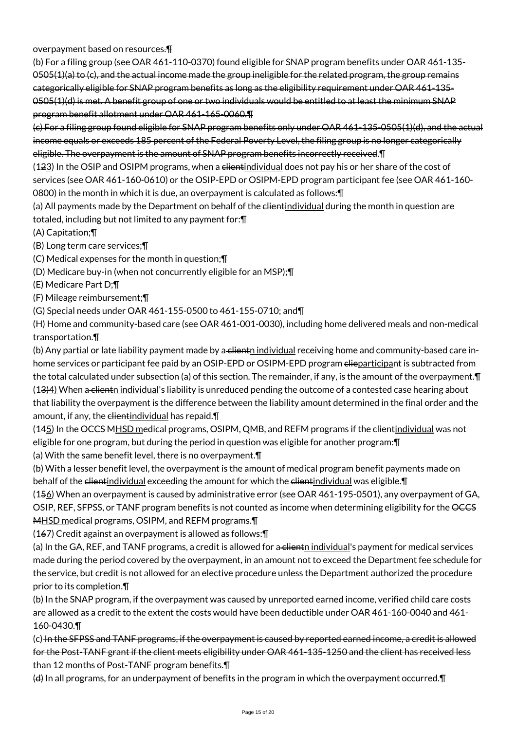overpayment based on resources.¶

(b) For a filing group (see OAR 461-110-0370) found eligible for SNAP program benefits under OAR 461-135-  $0.0505(1)(a)$  to (c), and the actual income made the group ineligible for the related program, the group remains categorically eligible for SNAP program benefits as long as the eligibility requirement under OAR 461-135- 0505(1)(d) is met. A benefit group of one or two individuals would be entitled to at least the minimum SNAP program benefit allotment under OAR 461-165-0060.¶

(c) For a filing group found eligible for SNAP program benefits only under OAR 461-135-0505(1)(d), and the actual income equals or exceeds 185 percent of the Federal Poverty Level, the filing group is no longer categorically eligible. The overpayment is the amount of SNAP program benefits incorrectly received.¶

(123) In the OSIP and OSIPM programs, when a clientindividual does not pay his or her share of the cost of services (see OAR 461-160-0610) or the OSIP-EPD or OSIPM-EPD program participant fee (see OAR 461-160- 0800) in the month in which it is due, an overpayment is calculated as follows:¶

(a) All payments made by the Department on behalf of the clientindividual during the month in question are totaled, including but not limited to any payment for:¶

(A) Capitation;¶

(B) Long term care services;¶

(C) Medical expenses for the month in question;¶

(D) Medicare buy-in (when not concurrently eligible for an MSP);¶

(E) Medicare Part D;¶

(F) Mileage reimbursement;¶

(G) Special needs under OAR 461-155-0500 to 461-155-0710; and¶

(H) Home and community-based care (see OAR 461-001-0030), including home delivered meals and non-medical transportation.¶

(b) Any partial or late liability payment made by a cliente individual receiving home and community-based care inhome services or participant fee paid by an OSIP-EPD or OSIPM-EPD program elieparticipant is subtracted from the total calculated under subsection (a) of this section. The remainder, if any, is the amount of the overpayment.¶ (13)4) When a clienth individual's liability is unreduced pending the outcome of a contested case hearing about that liability the overpayment is the difference between the liability amount determined in the final order and the amount, if any, the elientindividual has repaid. T

(145) In the OCCS MHSD medical programs, OSIPM, QMB, and REFM programs if the elientindividual was not eligible for one program, but during the period in question was eligible for another program:¶

(a) With the same benefit level, there is no overpayment.¶

(b) With a lesser benefit level, the overpayment is the amount of medical program benefit payments made on behalf of the clientindividual exceeding the amount for which the clientindividual was eligible.

(156) When an overpayment is caused by administrative error (see OAR 461-195-0501), any overpayment of GA, OSIP, REF, SFPSS, or TANF program benefits is not counted as income when determining eligibility for the OCCS MHSD medical programs, OSIPM, and REFM programs.

(167) Credit against an overpayment is allowed as follows:¶

(a) In the GA, REF, and TANF programs, a credit is allowed for a clienth individual's payment for medical services made during the period covered by the overpayment, in an amount not to exceed the Department fee schedule for the service, but credit is not allowed for an elective procedure unless the Department authorized the procedure prior to its completion.¶

(b) In the SNAP program, if the overpayment was caused by unreported earned income, verified child care costs are allowed as a credit to the extent the costs would have been deductible under OAR 461-160-0040 and 461- 160-0430.¶

(c) In the SFPSS and TANF programs, if the overpayment is caused by reported earned income, a credit is allowed for the Post-TANF grant if the client meets eligibility under OAR 461-135-1250 and the client has received less than 12 months of Post-TANF program benefits.¶

(d) In all programs, for an underpayment of benefits in the program in which the overpayment occurred.¶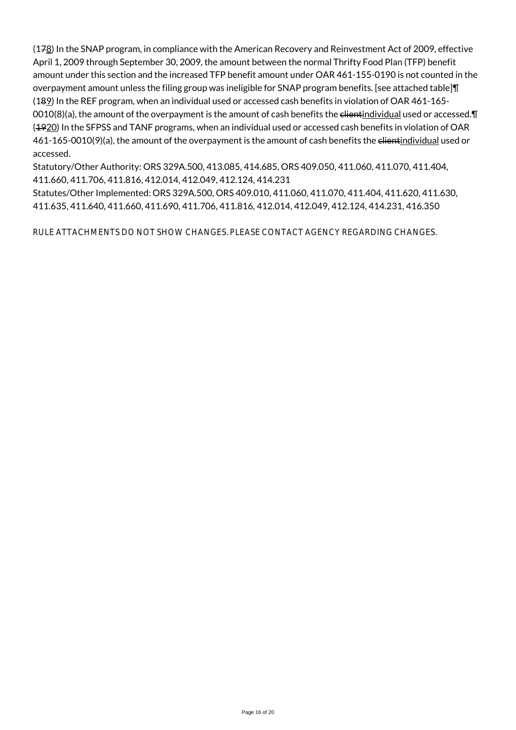(178) In the SNAP program, in compliance with the American Recovery and Reinvestment Act of 2009, effective April 1, 2009 through September 30, 2009, the amount between the normal Thrifty Food Plan (TFP) benefit amount under this section and the increased TFP benefit amount under OAR 461-155-0190 is not counted in the overpayment amount unless the filing group was ineligible for SNAP program benefits. [see attached table]¶ (189) In the REF program, when an individual used or accessed cash benefits in violation of OAR 461-165- 0010(8)(a), the amount of the overpayment is the amount of cash benefits the  $e$ lientindividual used or accessed. $\P$ (4920) In the SFPSS and TANF programs, when an individual used or accessed cash benefits in violation of OAR 461-165-0010(9)(a), the amount of the overpayment is the amount of cash benefits the clientindividual used or accessed.

Statutory/Other Authority: ORS 329A.500, 413.085, 414.685, ORS 409.050, 411.060, 411.070, 411.404, 411.660, 411.706, 411.816, 412.014, 412.049, 412.124, 414.231

Statutes/Other Implemented: ORS 329A.500, ORS 409.010, 411.060, 411.070, 411.404, 411.620, 411.630, 411.635, 411.640, 411.660, 411.690, 411.706, 411.816, 412.014, 412.049, 412.124, 414.231, 416.350

RULE ATTACHMENTS DO NOT SHOW CHANGES. PLEASE CONTACT AGENCY REGARDING CHANGES.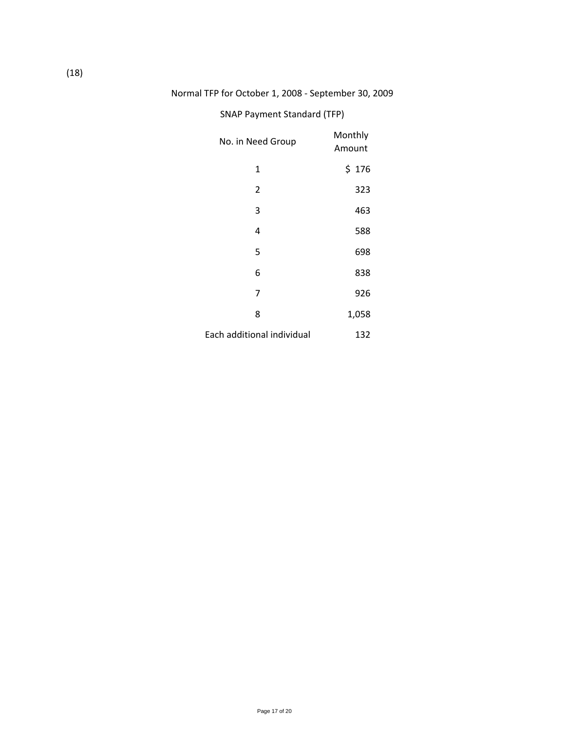# Normal TFP for October 1, 2008 ‐ September 30, 2009

# SNAP Payment Standard (TFP)

| No. in Need Group          | Monthly<br>Amount |
|----------------------------|-------------------|
| 1                          | \$176             |
| 2                          | 323               |
| 3                          | 463               |
| 4                          | 588               |
| 5                          | 698               |
| 6                          | 838               |
| 7                          | 926               |
| 8                          | 1,058             |
| Each additional individual | 132               |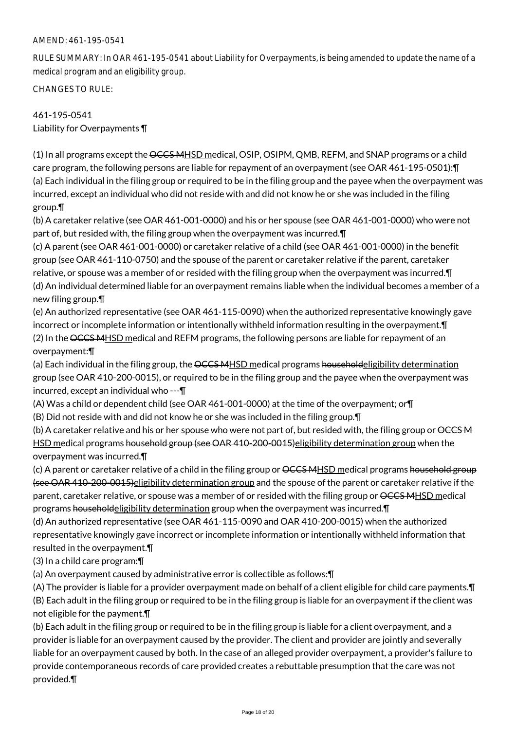RULE SUMMARY: In OAR 461-195-0541 about Liability for Overpayments, is being amended to update the name of a medical program and an eligibility group.

CHANGES TO RULE:

# 461-195-0541 Liability for Overpayments ¶

(1) In all programs except the OCCS MHSD medical, OSIP, OSIPM, QMB, REFM, and SNAP programs or a child care program, the following persons are liable for repayment of an overpayment (see OAR 461-195-0501): [ (a) Each individual in the filing group or required to be in the filing group and the payee when the overpayment was incurred, except an individual who did not reside with and did not know he or she was included in the filing group.¶

(b) A caretaker relative (see OAR 461-001-0000) and his or her spouse (see OAR 461-001-0000) who were not part of, but resided with, the filing group when the overpayment was incurred.¶

(c) A parent (see OAR 461-001-0000) or caretaker relative of a child (see OAR 461-001-0000) in the benefit group (see OAR 461-110-0750) and the spouse of the parent or caretaker relative if the parent, caretaker relative, or spouse was a member of or resided with the filing group when the overpayment was incurred.¶ (d) An individual determined liable for an overpayment remains liable when the individual becomes a member of a new filing group.¶

(e) An authorized representative (see OAR 461-115-0090) when the authorized representative knowingly gave incorrect or incomplete information or intentionally withheld information resulting in the overpayment.¶ (2) In the OCCS MHSD medical and REFM programs, the following persons are liable for repayment of an overpayment:¶

(a) Each individual in the filing group, the OCCS MHSD medical programs householdeligibility determination group (see OAR 410-200-0015), or required to be in the filing group and the payee when the overpayment was incurred, except an individual who ---¶

(A) Was a child or dependent child (see OAR 461-001-0000) at the time of the overpayment; or¶

(B) Did not reside with and did not know he or she was included in the filing group.¶

(b) A caretaker relative and his or her spouse who were not part of, but resided with, the filing group or OCCSM HSD medical programs household group (see OAR 410-200-0015) eligibility determination group when the overpayment was incurred.¶

(c) A parent or caretaker relative of a child in the filing group or <del>OCCS MHSD</del> medical programs household group (see OAR 410-200-0015)eligibility determination group and the spouse of the parent or caretaker relative if the parent, caretaker relative, or spouse was a member of or resided with the filing group or  $\angle{CCS}$  MHSD medical programs householdeligibility determination group when the overpayment was incurred.¶

(d) An authorized representative (see OAR 461-115-0090 and OAR 410-200-0015) when the authorized representative knowingly gave incorrect or incomplete information or intentionally withheld information that resulted in the overpayment.¶

(3) In a child care program:¶

(a) An overpayment caused by administrative error is collectible as follows:¶

(A) The provider is liable for a provider overpayment made on behalf of a client eligible for child care payments.¶ (B) Each adult in the filing group or required to be in the filing group is liable for an overpayment if the client was not eligible for the payment.¶

(b) Each adult in the filing group or required to be in the filing group is liable for a client overpayment, and a provider is liable for an overpayment caused by the provider. The client and provider are jointly and severally liable for an overpayment caused by both. In the case of an alleged provider overpayment, a provider's failure to provide contemporaneous records of care provided creates a rebuttable presumption that the care was not provided.¶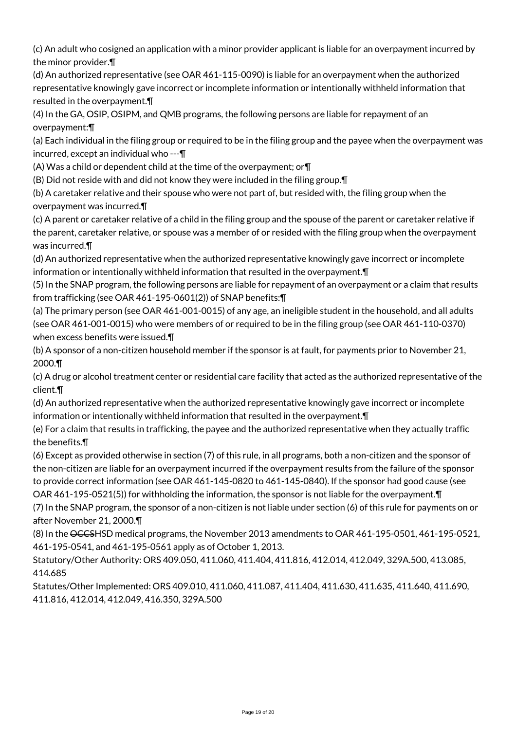(c) An adult who cosigned an application with a minor provider applicant is liable for an overpayment incurred by the minor provider.¶

(d) An authorized representative (see OAR 461-115-0090) is liable for an overpayment when the authorized representative knowingly gave incorrect or incomplete information or intentionally withheld information that resulted in the overpayment.¶

(4) In the GA, OSIP, OSIPM, and QMB programs, the following persons are liable for repayment of an overpayment:¶

(a) Each individual in the filing group or required to be in the filing group and the payee when the overpayment was incurred, except an individual who ---¶

(A) Was a child or dependent child at the time of the overpayment; or¶

(B) Did not reside with and did not know they were included in the filing group.¶

(b) A caretaker relative and their spouse who were not part of, but resided with, the filing group when the overpayment was incurred.¶

(c) A parent or caretaker relative of a child in the filing group and the spouse of the parent or caretaker relative if the parent, caretaker relative, or spouse was a member of or resided with the filing group when the overpayment was incurred.¶

(d) An authorized representative when the authorized representative knowingly gave incorrect or incomplete information or intentionally withheld information that resulted in the overpayment.¶

(5) In the SNAP program, the following persons are liable for repayment of an overpayment or a claim that results from trafficking (see OAR 461-195-0601(2)) of SNAP benefits:¶

(a) The primary person (see OAR 461-001-0015) of any age, an ineligible student in the household, and all adults (see OAR 461-001-0015) who were members of or required to be in the filing group (see OAR 461-110-0370) when excess benefits were issued.¶

(b) A sponsor of a non-citizen household member if the sponsor is at fault, for payments prior to November 21, 2000.¶

(c) A drug or alcohol treatment center or residential care facility that acted as the authorized representative of the client.¶

(d) An authorized representative when the authorized representative knowingly gave incorrect or incomplete information or intentionally withheld information that resulted in the overpayment.¶

(e) For a claim that results in trafficking, the payee and the authorized representative when they actually traffic the benefits.¶

(6) Except as provided otherwise in section (7) of this rule, in all programs, both a non-citizen and the sponsor of the non-citizen are liable for an overpayment incurred if the overpayment results from the failure of the sponsor to provide correct information (see OAR 461-145-0820 to 461-145-0840). If the sponsor had good cause (see OAR 461-195-0521(5)) for withholding the information, the sponsor is not liable for the overpayment.¶

(7) In the SNAP program, the sponsor of a non-citizen is not liable under section (6) of this rule for payments on or after November 21, 2000.¶

(8) In the OCCSHSD medical programs, the November 2013 amendments to OAR 461-195-0501, 461-195-0521, 461-195-0541, and 461-195-0561 apply as of October 1, 2013.

Statutory/Other Authority: ORS 409.050, 411.060, 411.404, 411.816, 412.014, 412.049, 329A.500, 413.085, 414.685

Statutes/Other Implemented: ORS 409.010, 411.060, 411.087, 411.404, 411.630, 411.635, 411.640, 411.690, 411.816, 412.014, 412.049, 416.350, 329A.500